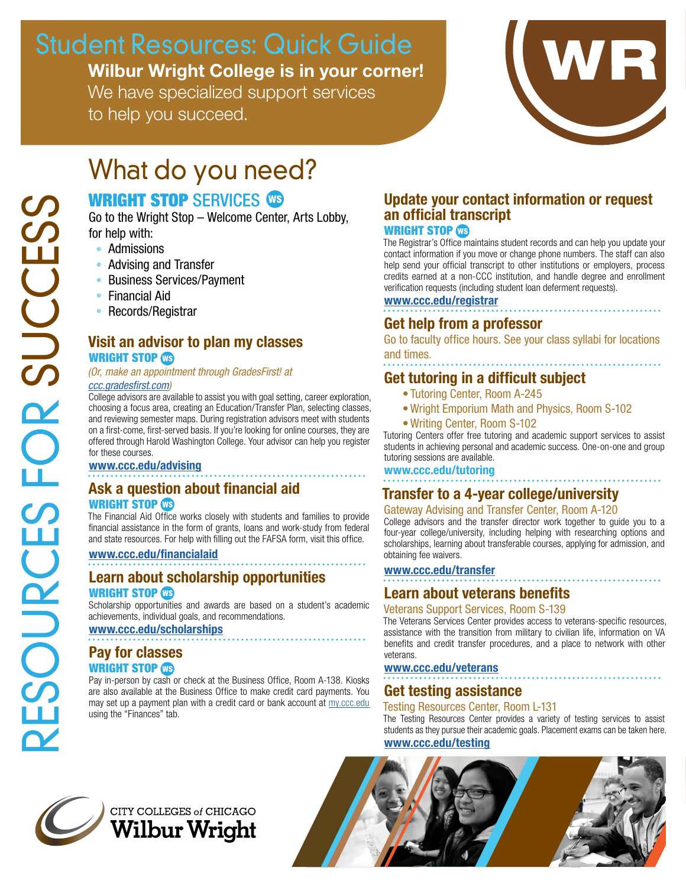# Student Resources: Quick Guide

Wilbur Wright College is in your corner! We have specialized support services

to help you succeed.



# What do you need?

## WRIGHT STOP SERVICES **CB**

Go to the Wright Stop – Welcome Center, Arts Lobby, for help with:

- Admissions
- Advising and Transfer
- Business Services/Payment
- Financial Aid
- Records/Registrar

### Visit an advisor to plan my classes WRIGHT STOP **OB**

#### *(Or, make an appointment through GradesFirst! at [ccc.gradesfirst.com\)](ccc.gradesfirst.com)*

College advisors are available to assist you with goal setting, career exploration, choosing a focus area, creating an Education/Transfer Plan, selecting classes, and reviewing semester maps. During registration advisors meet with students on a first-come, first-served basis. If you're looking for online courses, they are offered through Harold Washington College. Your advisor can help you register for these courses.

#### <www.ccc.edu/advising>

### Ask a question about financial aid WRIGHT STOP WS

The Financial Aid Office works closely with students and families to provide financial assistance in the form of grants, loans and work-study from federal and state resources. For help with filling out the FAFSA form, visit this office.

#### <www.ccc.edu/financialaid>

Learn about scholarship opportunities WRIGHT STOP WS

Scholarship opportunities and awards are based on a student's academic achievements, individual goals, and recommendations.

#### <www.ccc.edu/scholarships>

### Pay for classes WRIGHT STOP WS

Pay in-person by cash or check at the Business Office, Room A-138. Kiosks are also available at the Business Office to make credit card payments. You may set up a payment plan with a credit card or bank account at my.ccc.edu using the "Finances" tab.

### Update your contact information or request an official transcript

#### WRIGHT STOP CG

The Registrar's Office maintains student records and can help you update your contact information if you move or change phone numbers. The staff can also help send your official transcript to other institutions or employers, process credits earned at a non-CCC institution, and handle degree and enrollment verification requests (including student loan deferment requests).

## <www.ccc.edu/registrar>

### Get help from a professor

Go to faculty office hours. See your class syllabi for locations and times.

### Get tutoring in a difficult subject

- Tutoring Center, Room A-245
- •Wright Emporium Math and Physics, Room S-102
- •Writing Center, Room S-102

Tutoring Centers offer free tutoring and academic support services to assist students in achieving personal and academic success. One-on-one and group tutoring sessions are available.

#### www.ccc.edu/tutoring

### Transfer to a 4-year college/university

#### Gateway Advising and Transfer Center, Room A-120

College advisors and the transfer director work together to guide you to a four-year college/university, including helping with researching options and scholarships, learning about transferable courses, applying for admission, and obtaining fee waivers.

#### <www.ccc.edu/transfer>

### Learn about veterans benefits

#### Veterans Support Services, Room S-139

The Veterans Services Center provides access to veterans-specific resources, assistance with the transition from military to civilian life, information on VA benefits and credit transfer procedures, and a place to network with other veterans.

#### <www.ccc.edu/veterans>

### Get testing assistance

#### Testing Resources Center, Room L-131

The Testing Resources Center provides a variety of testing services to assist students as they pursue their academic goals. Placement exams can be taken here. <www.ccc.edu/testing>



CITY COLLEGES of CHICAGO **Wilbur Wright**